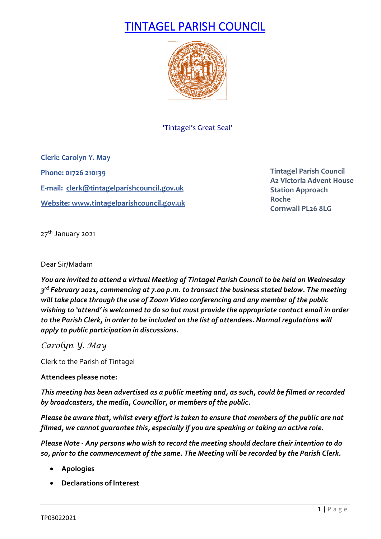# TINTAGEL PARISH COUNCIL



'Tintagel's Great Seal'

**Clerk: Carolyn Y. May Phone: 01726 210139 E-mail: [clerk@tintagelparishcouncil.gov.uk](mailto:clerk@tintagelparishcouncil.gov.uk) Website[: www.tintagelparishcouncil.gov.uk](http://www.tintagelparishcouncil.gov.uk/)**

**Tintagel Parish Council A2 Victoria Advent House Station Approach Roche Cornwall PL26 8LG**

27<sup>th</sup> January 2021

# Dear Sir/Madam

*You are invited to attend a virtual Meeting of Tintagel Parish Council to be held on Wednesday 3rd February 2021, commencing at 7.00 p.m. to transact the business stated below. The meeting will take place through the use of Zoom Video conferencing and any member of the public wishing to 'attend' is welcomed to do so but must provide the appropriate contact email in order to the Parish Clerk, in order to be included on the list of attendees. Normal regulations will apply to public participation in discussions.*

*Carolyn Y. May*

Clerk to the Parish of Tintagel

# **Attendees please note:**

*This meeting has been advertised as a public meeting and, as such, could be filmed or recorded by broadcasters, the media, Councillor, or members of the public.*

*Please be aware that, whilst every effort is taken to ensure that members of the public are not filmed, we cannot guarantee this, especially if you are speaking or taking an active role.*

*Please Note - Any persons who wish to record the meeting should declare their intention to do so, prior to the commencement of the same. The Meeting will be recorded by the Parish Clerk.*

- **Apologies**
- **Declarations of Interest**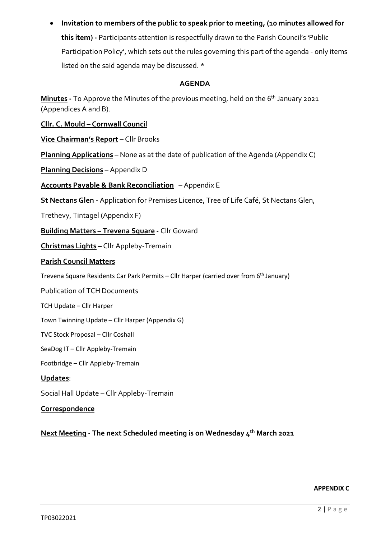• **Invitation to members of the public to speak prior to meeting, (10 minutes allowed for this item) -** Participants attention is respectfully drawn to the Parish Council's 'Public Participation Policy', which sets out the rules governing this part of the agenda - only items listed on the said agenda may be discussed. \*

# **AGENDA**

**Minutes** - To Approve the Minutes of the previous meeting, held on the 6<sup>th</sup> January 2021 (Appendices A and B).

**Cllr. C. Mould – Cornwall Council**

**Vice Chairman's Report –** Cllr Brooks

**Planning Applications** – None as at the date of publication of the Agenda (Appendix C)

**Planning Decisions** – Appendix D

**Accounts Payable & Bank Reconciliation** – Appendix E

**St Nectans Glen -** Application for Premises Licence, Tree of Life Café, St Nectans Glen,

Trethevy, Tintagel (Appendix F)

**Building Matters – Trevena Square -** Cllr Goward

**Christmas Lights –** Cllr Appleby-Tremain

# **Parish Council Matters**

Trevena Square Residents Car Park Permits – Cllr Harper (carried over from 6<sup>th</sup> January)

Publication of TCH Documents

TCH Update – Cllr Harper

Town Twinning Update – Cllr Harper (Appendix G)

TVC Stock Proposal – Cllr Coshall

SeaDog IT – Cllr Appleby-Tremain

Footbridge – Cllr Appleby-Tremain

# **Updates**:

Social Hall Update – Cllr Appleby-Tremain

**Correspondence**

**Next Meeting - The next Scheduled meeting is on Wednesday 4th March 2021**

# **APPENDIX C**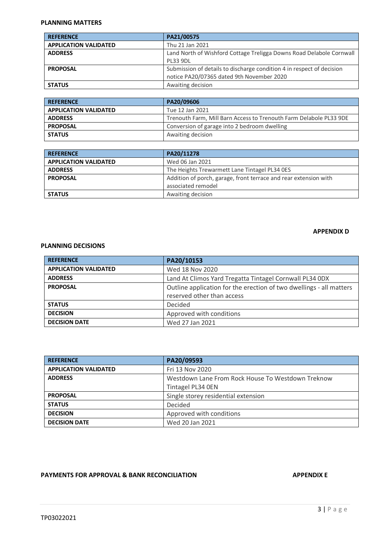#### **PLANNING MATTERS**

| <b>REFERENCE</b>             | PA21/00575                                                            |
|------------------------------|-----------------------------------------------------------------------|
| <b>APPLICATION VALIDATED</b> | Thu 21 Jan 2021                                                       |
| <b>ADDRESS</b>               | Land North of Wishford Cottage Treligga Downs Road Delabole Cornwall  |
|                              | <b>PL33 9DL</b>                                                       |
| <b>PROPOSAL</b>              | Submission of details to discharge condition 4 in respect of decision |
|                              | notice PA20/07365 dated 9th November 2020                             |
| <b>STATUS</b>                | Awaiting decision                                                     |

| <b>REFERENCE</b>             | PA20/09606                                                         |
|------------------------------|--------------------------------------------------------------------|
| <b>APPLICATION VALIDATED</b> | Tue 12 Jan 2021                                                    |
| <b>ADDRESS</b>               | Trenouth Farm, Mill Barn Access to Trenouth Farm Delabole PL33 9DE |
| <b>PROPOSAL</b>              | Conversion of garage into 2 bedroom dwelling                       |
| <b>STATUS</b>                | Awaiting decision                                                  |

| <b>REFERENCE</b>             | PA20/11278                                                       |
|------------------------------|------------------------------------------------------------------|
| <b>APPLICATION VALIDATED</b> | Wed 06 Jan 2021                                                  |
| <b>ADDRESS</b>               | The Heights Trewarmett Lane Tintagel PL34 0ES                    |
| <b>PROPOSAL</b>              | Addition of porch, garage, front terrace and rear extension with |
|                              | associated remodel                                               |
| <b>STATUS</b>                | Awaiting decision                                                |

### **APPENDIX D**

# **PLANNING DECISIONS**

| <b>REFERENCE</b>             | PA20/10153                                                                                        |
|------------------------------|---------------------------------------------------------------------------------------------------|
| <b>APPLICATION VALIDATED</b> | Wed 18 Nov 2020                                                                                   |
| <b>ADDRESS</b>               | Land At Climos Yard Tregatta Tintagel Cornwall PL34 0DX                                           |
| <b>PROPOSAL</b>              | Outline application for the erection of two dwellings - all matters<br>reserved other than access |
| <b>STATUS</b>                | Decided                                                                                           |
| <b>DECISION</b>              | Approved with conditions                                                                          |
| <b>DECISION DATE</b>         | Wed 27 Jan 2021                                                                                   |

| <b>REFERENCE</b>             | PA20/09593                                        |
|------------------------------|---------------------------------------------------|
| <b>APPLICATION VALIDATED</b> | Fri 13 Nov 2020                                   |
| <b>ADDRESS</b>               | Westdown Lane From Rock House To Westdown Treknow |
|                              | Tintagel PL34 OEN                                 |
| <b>PROPOSAL</b>              | Single storey residential extension               |
| <b>STATUS</b>                | Decided                                           |
| <b>DECISION</b>              | Approved with conditions                          |
| <b>DECISION DATE</b>         | Wed 20 Jan 2021                                   |

# **PAYMENTS FOR APPROVAL & BANK RECONCILIATION APPENDIX E**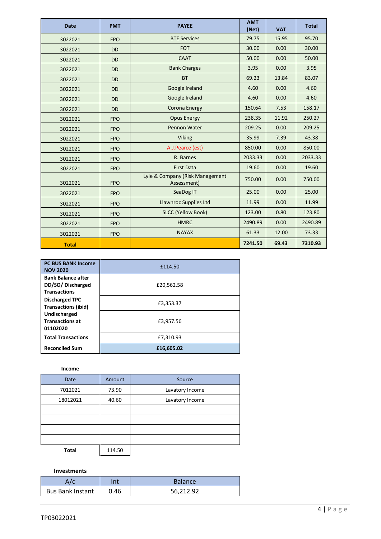| <b>Date</b>  | <b>PMT</b> | <b>PAYEE</b>                                   | <b>AMT</b><br>(Net) | <b>VAT</b> | <b>Total</b> |
|--------------|------------|------------------------------------------------|---------------------|------------|--------------|
| 3022021      | <b>FPO</b> | <b>BTE Services</b>                            | 79.75               | 15.95      | 95.70        |
| 3022021      | <b>DD</b>  | <b>FOT</b>                                     | 30.00               | 0.00       | 30.00        |
| 3022021      | <b>DD</b>  | <b>CAAT</b>                                    | 50.00               | 0.00       | 50.00        |
| 3022021      | <b>DD</b>  | <b>Bank Charges</b>                            | 3.95                | 0.00       | 3.95         |
| 3022021      | <b>DD</b>  | <b>BT</b>                                      | 69.23               | 13.84      | 83.07        |
| 3022021      | <b>DD</b>  | Google Ireland                                 | 4.60                | 0.00       | 4.60         |
| 3022021      | <b>DD</b>  | Google Ireland                                 | 4.60                | 0.00       | 4.60         |
| 3022021      | <b>DD</b>  | Corona Energy                                  | 150.64              | 7.53       | 158.17       |
| 3022021      | <b>FPO</b> | <b>Opus Energy</b>                             | 238.35              | 11.92      | 250.27       |
| 3022021      | <b>FPO</b> | Pennon Water                                   | 209.25              | 0.00       | 209.25       |
| 3022021      | <b>FPO</b> | <b>Viking</b>                                  | 35.99               | 7.39       | 43.38        |
| 3022021      | <b>FPO</b> | A.J.Pearce (est)                               | 850.00              | 0.00       | 850.00       |
| 3022021      | <b>FPO</b> | R. Barnes                                      | 2033.33             | 0.00       | 2033.33      |
| 3022021      | <b>FPO</b> | <b>First Data</b>                              | 19.60               | 0.00       | 19.60        |
| 3022021      | <b>FPO</b> | Lyle & Company (Risk Management<br>Assessment) | 750.00              | 0.00       | 750.00       |
| 3022021      | <b>FPO</b> | SeaDog IT                                      | 25.00               | 0.00       | 25.00        |
| 3022021      | <b>FPO</b> | <b>Llawnroc Supplies Ltd</b>                   | 11.99               | 0.00       | 11.99        |
| 3022021      | <b>FPO</b> | <b>SLCC (Yellow Book)</b>                      | 123.00              | 0.80       | 123.80       |
| 3022021      | <b>FPO</b> | <b>HMRC</b>                                    | 2490.89             | 0.00       | 2490.89      |
| 3022021      | <b>FPO</b> | <b>NAYAX</b>                                   | 61.33               | 12.00      | 73.33        |
| <b>Total</b> |            |                                                | 7241.50             | 69.43      | 7310.93      |

| <b>PC BUS BANK Income</b><br><b>NOV 2020</b>                         | £114.50    |
|----------------------------------------------------------------------|------------|
| <b>Bank Balance after</b><br>DD/SO/Discharged<br><b>Transactions</b> | £20,562.58 |
| <b>Discharged TPC</b><br><b>Transactions (ibid)</b>                  | £3,353.37  |
| Undischarged<br><b>Transactions at</b><br>01102020                   | £3,957.56  |
| <b>Total Transactions</b>                                            | £7,310.93  |
| <b>Reconciled Sum</b>                                                | £16,605.02 |

# **Income**

| Date         | Amount | Source          |
|--------------|--------|-----------------|
| 7012021      | 73.90  | Lavatory Income |
| 18012021     | 40.60  | Lavatory Income |
|              |        |                 |
|              |        |                 |
|              |        |                 |
|              |        |                 |
| <b>Total</b> | 114.50 |                 |

**Investments**

| A/c                     | nt   | <b>Balance</b> |
|-------------------------|------|----------------|
| <b>Bus Bank Instant</b> | 0.46 | 56,212.92      |